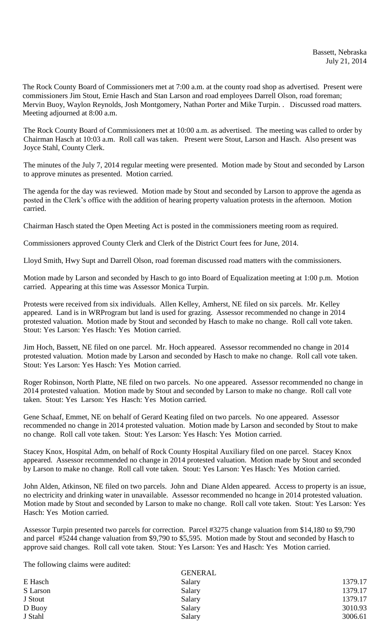The Rock County Board of Commissioners met at 7:00 a.m. at the county road shop as advertised. Present were commissioners Jim Stout, Ernie Hasch and Stan Larson and road employees Darrell Olson, road foreman; Mervin Buoy, Waylon Reynolds, Josh Montgomery, Nathan Porter and Mike Turpin. . Discussed road matters. Meeting adjourned at 8:00 a.m.

The Rock County Board of Commissioners met at 10:00 a.m. as advertised. The meeting was called to order by Chairman Hasch at 10:03 a.m. Roll call was taken. Present were Stout, Larson and Hasch. Also present was Joyce Stahl, County Clerk.

The minutes of the July 7, 2014 regular meeting were presented. Motion made by Stout and seconded by Larson to approve minutes as presented. Motion carried.

The agenda for the day was reviewed. Motion made by Stout and seconded by Larson to approve the agenda as posted in the Clerk's office with the addition of hearing property valuation protests in the afternoon. Motion carried.

Chairman Hasch stated the Open Meeting Act is posted in the commissioners meeting room as required.

Commissioners approved County Clerk and Clerk of the District Court fees for June, 2014.

Lloyd Smith, Hwy Supt and Darrell Olson, road foreman discussed road matters with the commissioners.

Motion made by Larson and seconded by Hasch to go into Board of Equalization meeting at 1:00 p.m. Motion carried. Appearing at this time was Assessor Monica Turpin.

Protests were received from six individuals. Allen Kelley, Amherst, NE filed on six parcels. Mr. Kelley appeared. Land is in WRProgram but land is used for grazing. Assessor recommended no change in 2014 protested valuation. Motion made by Stout and seconded by Hasch to make no change. Roll call vote taken. Stout: Yes Larson: Yes Hasch: Yes Motion carried.

Jim Hoch, Bassett, NE filed on one parcel. Mr. Hoch appeared. Assessor recommended no change in 2014 protested valuation. Motion made by Larson and seconded by Hasch to make no change. Roll call vote taken. Stout: Yes Larson: Yes Hasch: Yes Motion carried.

Roger Robinson, North Platte, NE filed on two parcels. No one appeared. Assessor recommended no change in 2014 protested valuation. Motion made by Stout and seconded by Larson to make no change. Roll call vote taken. Stout: Yes Larson: Yes Hasch: Yes Motion carried.

Gene Schaaf, Emmet, NE on behalf of Gerard Keating filed on two parcels. No one appeared. Assessor recommended no change in 2014 protested valuation. Motion made by Larson and seconded by Stout to make no change. Roll call vote taken. Stout: Yes Larson: Yes Hasch: Yes Motion carried.

Stacey Knox, Hospital Adm, on behalf of Rock County Hospital Auxiliary filed on one parcel. Stacey Knox appeared. Assessor recommended no change in 2014 protested valuation. Motion made by Stout and seconded by Larson to make no change. Roll call vote taken. Stout: Yes Larson: Yes Hasch: Yes Motion carried.

John Alden, Atkinson, NE filed on two parcels. John and Diane Alden appeared. Access to property is an issue, no electricity and drinking water in unavailable. Assessor recommended no hcange in 2014 protested valuation. Motion made by Stout and seconded by Larson to make no change. Roll call vote taken. Stout: Yes Larson: Yes Hasch: Yes Motion carried.

Assessor Turpin presented two parcels for correction. Parcel #3275 change valuation from \$14,180 to \$9,790 and parcel #5244 change valuation from \$9,790 to \$5,595. Motion made by Stout and seconded by Hasch to approve said changes. Roll call vote taken. Stout: Yes Larson: Yes and Hasch: Yes Motion carried.

The following claims were audited:

|          | <b>GENERAL</b> |         |
|----------|----------------|---------|
| E Hasch  | Salary         | 1379.17 |
| S Larson | Salary         | 1379.17 |
| J Stout  | Salary         | 1379.17 |
| D Buoy   | Salary         | 3010.93 |
| J Stahl  | Salary         | 3006.61 |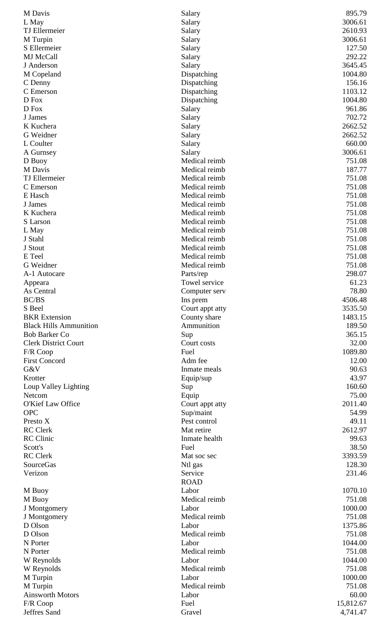| M Davis                       | Salary          | 895.79    |
|-------------------------------|-----------------|-----------|
| L May                         | Salary          | 3006.61   |
| TJ Ellermeier                 | Salary          | 2610.93   |
| M Turpin                      | Salary          | 3006.61   |
| S Ellermeier                  | Salary          | 127.50    |
| MJ McCall                     | Salary          | 292.22    |
| J Anderson                    | Salary          | 3645.45   |
| M Copeland                    | Dispatching     | 1004.80   |
| C Denny                       | Dispatching     | 156.16    |
| C Emerson                     | Dispatching     | 1103.12   |
| D Fox                         | Dispatching     | 1004.80   |
| D Fox                         | Salary          | 961.86    |
| J James                       | Salary          | 702.72    |
| K Kuchera                     | Salary          | 2662.52   |
| G Weidner                     | Salary          | 2662.52   |
| L Coulter                     | Salary          | 660.00    |
| A Gurnsey                     | Salary          | 3006.61   |
| D Buoy                        | Medical reimb   | 751.08    |
| M Davis                       | Medical reimb   | 187.77    |
| <b>TJ</b> Ellermeier          | Medical reimb   | 751.08    |
| C Emerson                     | Medical reimb   | 751.08    |
| E Hasch                       | Medical reimb   | 751.08    |
| J James                       | Medical reimb   | 751.08    |
| K Kuchera                     | Medical reimb   | 751.08    |
| S Larson                      | Medical reimb   | 751.08    |
| L May                         | Medical reimb   | 751.08    |
| J Stahl                       | Medical reimb   | 751.08    |
| J Stout                       | Medical reimb   | 751.08    |
| E Teel                        | Medical reimb   | 751.08    |
| G Weidner                     | Medical reimb   | 751.08    |
| A-1 Autocare                  | Parts/rep       | 298.07    |
| Appeara                       | Towel service   | 61.23     |
| As Central                    | Computer serv   | 78.80     |
| BC/BS                         | Ins prem        | 4506.48   |
| S Beel                        | Court appt atty | 3535.50   |
| <b>BKR</b> Extension          | County share    | 1483.15   |
| <b>Black Hills Ammunition</b> | Ammunition      | 189.50    |
| <b>Bob Barker Co</b>          | Sup             | 365.15    |
| <b>Clerk District Court</b>   | Court costs     | 32.00     |
| F/R Coop                      | Fuel            | 1089.80   |
| <b>First Concord</b>          | Adm fee         | 12.00     |
| G&V                           | Inmate meals    | 90.63     |
| Krotter                       | Equip/sup       | 43.97     |
| Loup Valley Lighting          | Sup             | 160.60    |
| Netcom                        | Equip           | 75.00     |
| O'Kief Law Office             | Court appt atty | 2011.40   |
| <b>OPC</b>                    | Sup/maint       | 54.99     |
| Presto X                      | Pest control    | 49.11     |
| <b>RC</b> Clerk               | Mat retire      | 2612.97   |
| <b>RC</b> Clinic              | Inmate health   | 99.63     |
| Scott's                       | Fuel            | 38.50     |
| <b>RC</b> Clerk               | Mat soc sec     | 3393.59   |
| SourceGas                     | Ntl gas         | 128.30    |
| Verizon                       | Service         | 231.46    |
|                               | <b>ROAD</b>     |           |
| M Buoy                        | Labor           | 1070.10   |
| M Buoy                        | Medical reimb   | 751.08    |
| J Montgomery                  | Labor           | 1000.00   |
| J Montgomery                  | Medical reimb   | 751.08    |
| D Olson                       | Labor           | 1375.86   |
| D Olson                       | Medical reimb   | 751.08    |
| N Porter                      | Labor           | 1044.00   |
| N Porter                      | Medical reimb   | 751.08    |
| W Reynolds                    | Labor           | 1044.00   |
| W Reynolds                    | Medical reimb   | 751.08    |
| M Turpin                      | Labor           | 1000.00   |
| M Turpin                      | Medical reimb   | 751.08    |
| <b>Ainsworth Motors</b>       | Labor           | 60.00     |
| F/R Coop                      | Fuel            | 15,812.67 |
| Jeffres Sand                  | Gravel          | 4,741.47  |